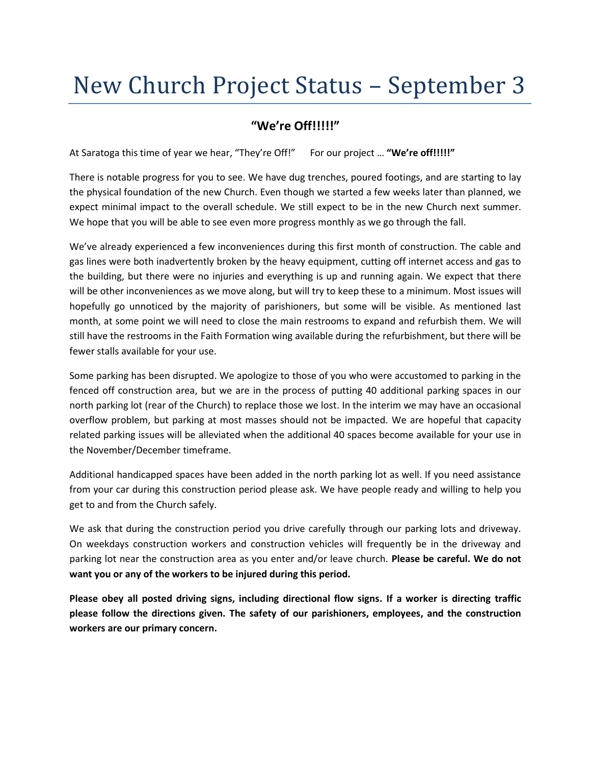## New Church Project Status – September 3

## **"We're Off!!!!!"**

At Saratoga this time of year we hear, "They're Off!" For our project … **"We're off!!!!!"**

There is notable progress for you to see. We have dug trenches, poured footings, and are starting to lay the physical foundation of the new Church. Even though we started a few weeks later than planned, we expect minimal impact to the overall schedule. We still expect to be in the new Church next summer. We hope that you will be able to see even more progress monthly as we go through the fall.

We've already experienced a few inconveniences during this first month of construction. The cable and gas lines were both inadvertently broken by the heavy equipment, cutting off internet access and gas to the building, but there were no injuries and everything is up and running again. We expect that there will be other inconveniences as we move along, but will try to keep these to a minimum. Most issues will hopefully go unnoticed by the majority of parishioners, but some will be visible. As mentioned last month, at some point we will need to close the main restrooms to expand and refurbish them. We will still have the restrooms in the Faith Formation wing available during the refurbishment, but there will be fewer stalls available for your use.

Some parking has been disrupted. We apologize to those of you who were accustomed to parking in the fenced off construction area, but we are in the process of putting 40 additional parking spaces in our north parking lot (rear of the Church) to replace those we lost. In the interim we may have an occasional overflow problem, but parking at most masses should not be impacted. We are hopeful that capacity related parking issues will be alleviated when the additional 40 spaces become available for your use in the November/December timeframe.

Additional handicapped spaces have been added in the north parking lot as well. If you need assistance from your car during this construction period please ask. We have people ready and willing to help you get to and from the Church safely.

We ask that during the construction period you drive carefully through our parking lots and driveway. On weekdays construction workers and construction vehicles will frequently be in the driveway and parking lot near the construction area as you enter and/or leave church. **Please be careful. We do not want you or any of the workers to be injured during this period.**

**Please obey all posted driving signs, including directional flow signs. If a worker is directing traffic please follow the directions given. The safety of our parishioners, employees, and the construction workers are our primary concern.**